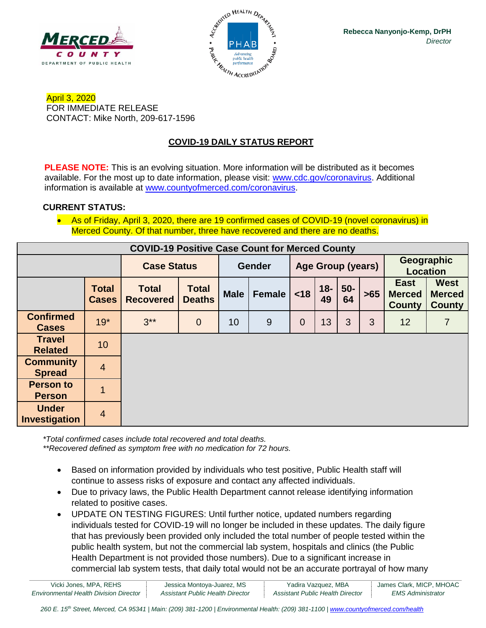



April 3, 2020 FOR IMMEDIATE RELEASE CONTACT: Mike North, 209-617-1596

## **COVID-19 DAILY STATUS REPORT**

**PLEASE NOTE:** This is an evolving situation. More information will be distributed as it becomes available. For the most up to date information, please visit: [www.cdc.gov/coronavirus.](http://www.cdc.gov/coronavirus) Additional information is available at [www.countyofmerced.com/coronavirus.](http://www.countyofmerced.com/coronavirus)

#### **CURRENT STATUS:**

• As of Friday, April 3, 2020, there are 19 confirmed cases of COVID-19 (novel coronavirus) in Merced County. Of that number, three have recovered and there are no deaths.

| <b>COVID-19 Positive Case Count for Merced County</b> |                              |                                  |                               |               |        |                          |              |             |       |                                               |                                               |
|-------------------------------------------------------|------------------------------|----------------------------------|-------------------------------|---------------|--------|--------------------------|--------------|-------------|-------|-----------------------------------------------|-----------------------------------------------|
|                                                       |                              | <b>Case Status</b>               |                               | <b>Gender</b> |        | <b>Age Group (years)</b> |              |             |       | Geographic<br>Location                        |                                               |
|                                                       | <b>Total</b><br><b>Cases</b> | <b>Total</b><br><b>Recovered</b> | <b>Total</b><br><b>Deaths</b> | <b>Male</b>   | Female | < 18                     | $18 -$<br>49 | $50-$<br>64 | $>65$ | <b>East</b><br><b>Merced</b><br><b>County</b> | <b>West</b><br><b>Merced</b><br><b>County</b> |
| <b>Confirmed</b><br><b>Cases</b>                      | $19*$                        | $3**$                            | $\theta$                      | 10            | 9      | $\overline{0}$           | 13           | 3           | 3     | 12                                            | 7                                             |
| <b>Travel</b><br><b>Related</b>                       | 10                           |                                  |                               |               |        |                          |              |             |       |                                               |                                               |
| <b>Community</b><br><b>Spread</b>                     | $\overline{4}$               |                                  |                               |               |        |                          |              |             |       |                                               |                                               |
| <b>Person to</b><br><b>Person</b>                     |                              |                                  |                               |               |        |                          |              |             |       |                                               |                                               |
| <b>Under</b><br><b>Investigation</b>                  | $\overline{4}$               |                                  |                               |               |        |                          |              |             |       |                                               |                                               |

*\*Total confirmed cases include total recovered and total deaths. \*\*Recovered defined as symptom free with no medication for 72 hours.*

- Based on information provided by individuals who test positive, Public Health staff will continue to assess risks of exposure and contact any affected individuals.
- Due to privacy laws, the Public Health Department cannot release identifying information related to positive cases.
- UPDATE ON TESTING FIGURES: Until further notice, updated numbers regarding individuals tested for COVID-19 will no longer be included in these updates. The daily figure that has previously been provided only included the total number of people tested within the public health system, but not the commercial lab system, hospitals and clinics (the Public Health Department is not provided those numbers). Due to a significant increase in commercial lab system tests, that daily total would not be an accurate portrayal of how many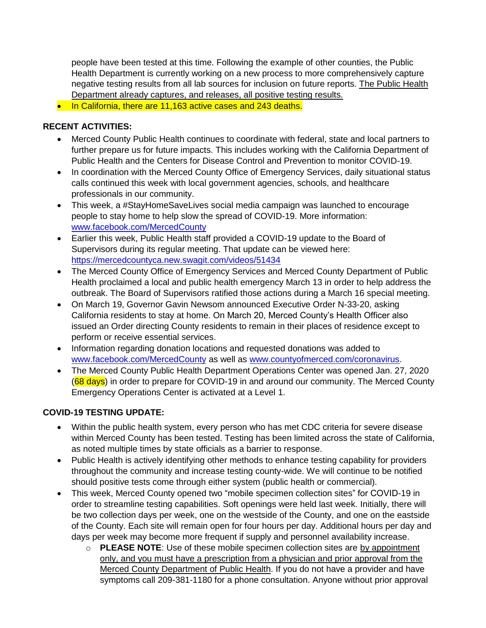people have been tested at this time. Following the example of other counties, the Public Health Department is currently working on a new process to more comprehensively capture negative testing results from all lab sources for inclusion on future reports. The Public Health Department already captures, and releases, all positive testing results.

• In California, there are 11,163 active cases and 243 deaths.

#### **RECENT ACTIVITIES:**

- Merced County Public Health continues to coordinate with federal, state and local partners to further prepare us for future impacts. This includes working with the California Department of Public Health and the Centers for Disease Control and Prevention to monitor COVID-19.
- In coordination with the Merced County Office of Emergency Services, daily situational status calls continued this week with local government agencies, schools, and healthcare professionals in our community.
- This week, a #StayHomeSaveLives social media campaign was launched to encourage people to stay home to help slow the spread of COVID-19. More information: [www.facebook.com/MercedCounty](http://www.facebook.com/MercedCounty)
- Earlier this week, Public Health staff provided a COVID-19 update to the Board of Supervisors during its regular meeting. That update can be viewed here: <https://mercedcountyca.new.swagit.com/videos/51434>
- The Merced County Office of Emergency Services and Merced County Department of Public Health proclaimed a local and public health emergency March 13 in order to help address the outbreak. The Board of Supervisors ratified those actions during a March 16 special meeting.
- On March 19, Governor Gavin Newsom announced Executive Order N-33-20, asking California residents to stay at home. On March 20, Merced County's Health Officer also issued an Order directing County residents to remain in their places of residence except to perform or receive essential services.
- Information regarding donation locations and requested donations was added to [www.facebook.com/MercedCounty](http://www.facebook.com/MercedCounty) as well as [www.countyofmerced.com/coronavirus.](http://www.countyofmerced.com/coronavirus)
- The Merced County Public Health Department Operations Center was opened Jan. 27, 2020 (68 days) in order to prepare for COVID-19 in and around our community. The Merced County Emergency Operations Center is activated at a Level 1.

## **COVID-19 TESTING UPDATE:**

- Within the public health system, every person who has met CDC criteria for severe disease within Merced County has been tested. Testing has been limited across the state of California, as noted multiple times by state officials as a barrier to response.
- Public Health is actively identifying other methods to enhance testing capability for providers throughout the community and increase testing county-wide. We will continue to be notified should positive tests come through either system (public health or commercial).
- This week, Merced County opened two "mobile specimen collection sites" for COVID-19 in order to streamline testing capabilities. Soft openings were held last week. Initially, there will be two collection days per week, one on the westside of the County, and one on the eastside of the County. Each site will remain open for four hours per day. Additional hours per day and days per week may become more frequent if supply and personnel availability increase.
	- o **PLEASE NOTE**: Use of these mobile specimen collection sites are by appointment only, and you must have a prescription from a physician and prior approval from the Merced County Department of Public Health. If you do not have a provider and have symptoms call 209-381-1180 for a phone consultation. Anyone without prior approval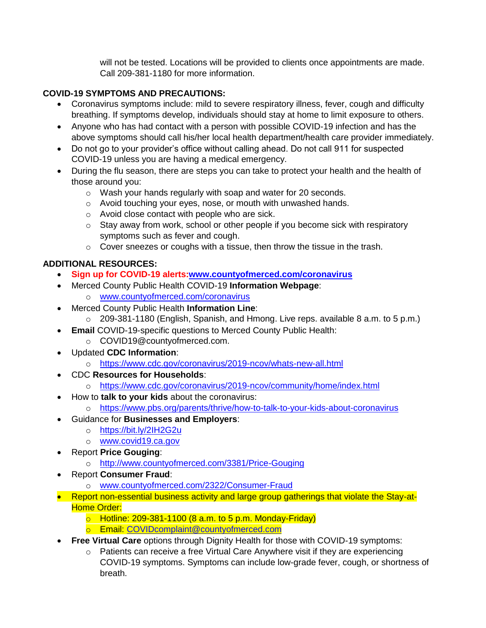will not be tested. Locations will be provided to clients once appointments are made. Call 209-381-1180 for more information.

## **COVID-19 SYMPTOMS AND PRECAUTIONS:**

- Coronavirus symptoms include: mild to severe respiratory illness, fever, cough and difficulty breathing. If symptoms develop, individuals should stay at home to limit exposure to others.
- Anyone who has had contact with a person with possible COVID-19 infection and has the above symptoms should call his/her local health department/health care provider immediately.
- Do not go to your provider's office without calling ahead. Do not call 911 for suspected COVID-19 unless you are having a medical emergency.
- During the flu season, there are steps you can take to protect your health and the health of those around you:
	- o Wash your hands regularly with soap and water for 20 seconds.
	- o Avoid touching your eyes, nose, or mouth with unwashed hands.
	- o Avoid close contact with people who are sick.
	- $\circ$  Stay away from work, school or other people if you become sick with respiratory symptoms such as fever and cough.
	- o Cover sneezes or coughs with a tissue, then throw the tissue in the trash.

# **ADDITIONAL RESOURCES:**

- **Sign up for COVID-19 alerts[:www.countyofmerced.com/coronavirus](http://www.countyofmerced.com/coronavirus)**
- Merced County Public Health COVID-19 **Information Webpage**: o [www.countyofmerced.com/coronavirus](http://www.countyofmerced.com/coronavirus)
- Merced County Public Health **Information Line**:
	- o 209-381-1180 (English, Spanish, and Hmong. Live reps. available 8 a.m. to 5 p.m.)
- **Email** COVID-19-specific questions to Merced County Public Health:
	- o COVID19@countyofmerced.com.
- Updated **CDC Information**:
	- o <https://www.cdc.gov/coronavirus/2019-ncov/whats-new-all.html>
- CDC **Resources for Households**:
	- o <https://www.cdc.gov/coronavirus/2019-ncov/community/home/index.html>
- How to **talk to your kids** about the coronavirus:
	- o <https://www.pbs.org/parents/thrive/how-to-talk-to-your-kids-about-coronavirus>
- Guidance for **Businesses and Employers**:
	- o <https://bit.ly/2IH2G2u>
	- o [www.covid19.ca.gov](http://www.covid19.ca.gov/)
- Report **Price Gouging**:
	- o <http://www.countyofmerced.com/3381/Price-Gouging>
- Report **Consumer Fraud**:
	- o [www.countyofmerced.com/2322/Consumer-Fraud](http://www.countyofmerced.com/2322/Consumer-Fraud)
- Report non-essential business activity and large group gatherings that violate the Stay-at-Home Order:
	- $\circ$  Hotline: 209-381-1100 (8 a.m. to 5 p.m. Monday-Friday)
	- o Email: [COVIDcomplaint@countyofmerced.com](mailto:COVIDcomplaint@countyofmerced.com)
- **Free Virtual Care** options through Dignity Health for those with COVID-19 symptoms:
	- o Patients can receive a free Virtual Care Anywhere visit if they are experiencing COVID-19 symptoms. Symptoms can include low-grade fever, cough, or shortness of breath.